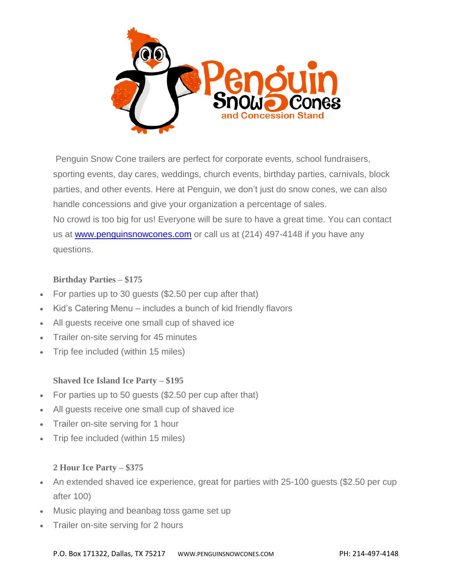

Penguin Snow Cone trailers are perfect for corporate events, school fundraisers, sporting events, day cares, weddings, church events, birthday parties, carnivals, block parties, and other events. Here at Penguin, we don't just do snow cones, we can also handle concessions and give your organization a percentage of sales. No crowd is too big for us! Everyone will be sure to have a great time. You can contact us at [www.penguinsnowcones.com](http://www.penguinsnowcones.com/) or call us at (214) 497-4148 if you have any questions.

## **Birthday Parties – \$175**

- For parties up to 30 guests (\$2.50 per cup after that)
- Kid's Catering Menu includes a bunch of kid friendly flavors
- All guests receive one small cup of shaved ice
- Trailer on-site serving for 45 minutes
- Trip fee included (within 15 miles)

## **Shaved Ice Island Ice Party – \$195**

- For parties up to 50 guests (\$2.50 per cup after that)
- All guests receive one small cup of shaved ice
- Trailer on-site serving for 1 hour
- Trip fee included (within 15 miles)

## **2 Hour Ice Party – \$375**

- An extended shaved ice experience, great for parties with 25-100 guests (\$2.50 per cup after 100)
- Music playing and beanbag toss game set up
- Trailer on-site serving for 2 hours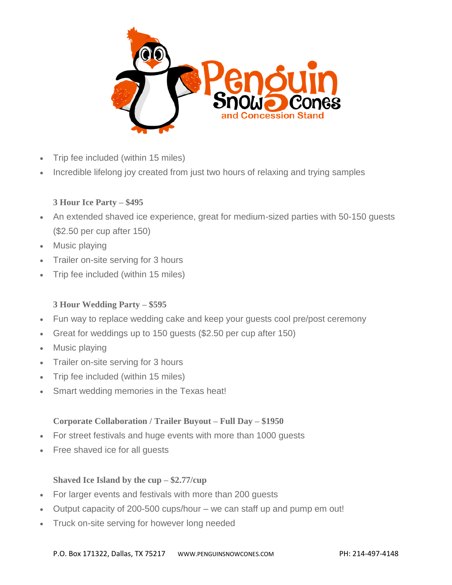

- Trip fee included (within 15 miles)
- Incredible lifelong joy created from just two hours of relaxing and trying samples

# **3 Hour Ice Party – \$495**

- An extended shaved ice experience, great for medium-sized parties with 50-150 guests (\$2.50 per cup after 150)
- Music playing
- Trailer on-site serving for 3 hours
- Trip fee included (within 15 miles)

# **3 Hour Wedding Party – \$595**

- Fun way to replace wedding cake and keep your guests cool pre/post ceremony
- Great for weddings up to 150 guests (\$2.50 per cup after 150)
- Music playing
- Trailer on-site serving for 3 hours
- Trip fee included (within 15 miles)
- Smart wedding memories in the Texas heat!

# **Corporate Collaboration / Trailer Buyout – Full Day – \$1950**

- For street festivals and huge events with more than 1000 guests
- Free shaved ice for all guests

# **Shaved Ice Island by the cup – \$2.77/cup**

- For larger events and festivals with more than 200 guests
- Output capacity of 200-500 cups/hour we can staff up and pump em out!
- Truck on-site serving for however long needed